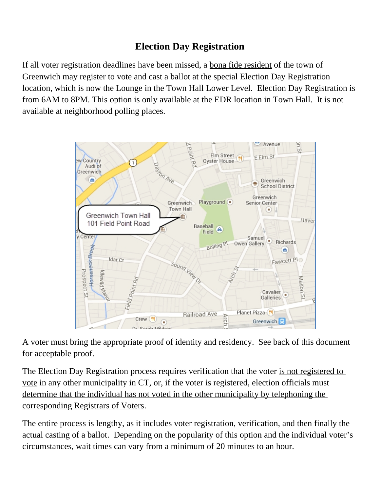## **Election Day Registration**

If all voter registration deadlines have been missed, a bona fide resident of the town of Greenwich may register to vote and cast a ballot at the special Election Day Registration location, which is now the Lounge in the Town Hall Lower Level. Election Day Registration is from 6AM to 8PM. This option is only available at the EDR location in Town Hall. It is not available at neighborhood polling places.



A voter must bring the appropriate proof of identity and residency. See back of this document for acceptable proof.

The Election Day Registration process requires verification that the voter is not registered to vote in any other municipality in CT, or, if the voter is registered, election officials must determine that the individual has not voted in the other municipality by telephoning the corresponding Registrars of Voters.

The entire process is lengthy, as it includes voter registration, verification, and then finally the actual casting of a ballot. Depending on the popularity of this option and the individual voter's circumstances, wait times can vary from a minimum of 20 minutes to an hour.